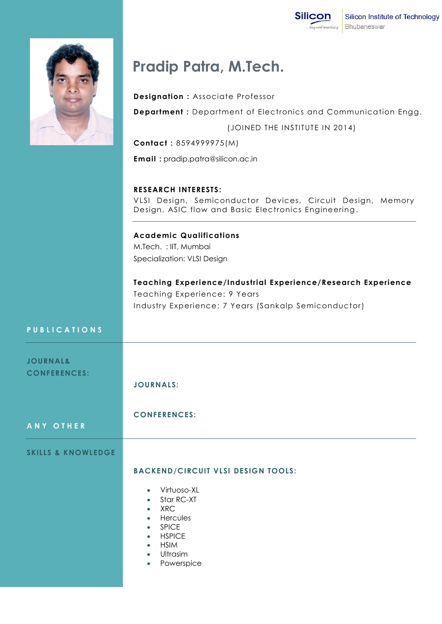



## **Pradip Patra, M.Tech.**

**Designation :** Associate Professor

**Department :** Department of Electronics and Communication Engg.

(JOINED THE INSTITUTE IN 2014)

**Contact :** 8594999975(M)

**Email :** pradip.patra@silicon.ac.in

**RESEARCH INTERESTS:**

VLSI Design, Semiconductor Devices, Circuit Design, Memory Design, ASIC flow and Basic Electronics Engineering .

**Academic Qualifications** M.Tech. : IIT, Mumbai Specialization: VLSI Design

**Teaching Experience/Industrial Experience/Research Experience** Teaching Experience: 9 Years Industry Experience: 7 Years (Sankalp Semiconductor)

## **P U B L I C A T I O N S**

| <b>JOURNAL&amp;</b><br><b>CONFERENCES:</b> | <b>JOURNALS:</b>                                                                                                                                                                            |
|--------------------------------------------|---------------------------------------------------------------------------------------------------------------------------------------------------------------------------------------------|
| ANY OTHER                                  | <b>CONFERENCES:</b>                                                                                                                                                                         |
| <b>SKILLS &amp; KNOWLEDGE</b>              | <b>BACKEND/CIRCUIT VLSI DESIGN TOOLS:</b><br>• Virtuoso-XL<br>$\bullet$ Star RC-XT<br>$\bullet$ XRC<br>• Hercules<br>• SPICE<br>• HSPICE<br>• HSIM<br>• Ultrasim<br>Powerspice<br>$\bullet$ |